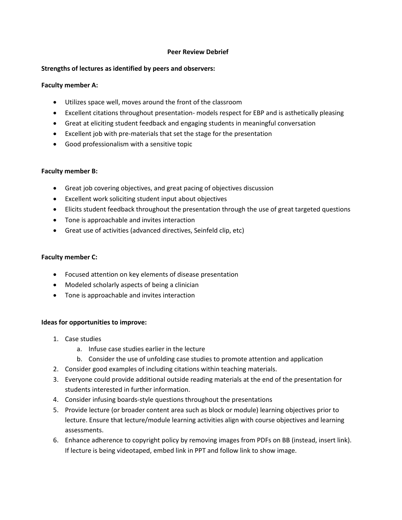## **Peer Review Debrief**

## **Strengths of lectures as identified by peers and observers:**

## **Faculty member A:**

- Utilizes space well, moves around the front of the classroom
- Excellent citations throughout presentation- models respect for EBP and is asthetically pleasing
- Great at eliciting student feedback and engaging students in meaningful conversation
- Excellent job with pre-materials that set the stage for the presentation
- Good professionalism with a sensitive topic

### **Faculty member B:**

- Great job covering objectives, and great pacing of objectives discussion
- Excellent work soliciting student input about objectives
- Elicits student feedback throughout the presentation through the use of great targeted questions
- Tone is approachable and invites interaction
- Great use of activities (advanced directives, Seinfeld clip, etc)

### **Faculty member C:**

- Focused attention on key elements of disease presentation
- Modeled scholarly aspects of being a clinician
- Tone is approachable and invites interaction

#### **Ideas for opportunities to improve:**

- 1. Case studies
	- a. Infuse case studies earlier in the lecture
	- b. Consider the use of unfolding case studies to promote attention and application
- 2. Consider good examples of including citations within teaching materials.
- 3. Everyone could provide additional outside reading materials at the end of the presentation for students interested in further information.
- 4. Consider infusing boards-style questions throughout the presentations
- 5. Provide lecture (or broader content area such as block or module) learning objectives prior to lecture. Ensure that lecture/module learning activities align with course objectives and learning assessments.
- 6. Enhance adherence to copyright policy by removing images from PDFs on BB (instead, insert link). If lecture is being videotaped, embed link in PPT and follow link to show image.